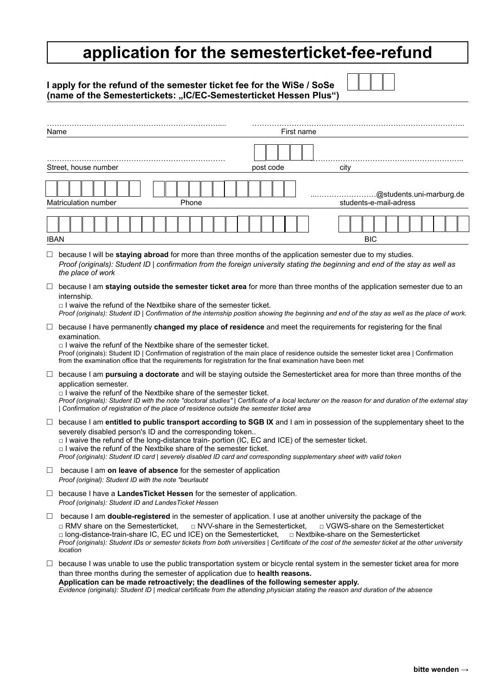# **application for the semesterticket-fee-refund**

| I apply for the refund of the semester ticket fee for the WiSe / SoSe |  |
|-----------------------------------------------------------------------|--|
| (name of the Semestertickets: "IC/EC-Semesterticket Hessen Plus")     |  |

|             | First name<br>Name                                                                                                                                                                                                                                                                                                                                                                                                                                                                                                     |  |  |  |
|-------------|------------------------------------------------------------------------------------------------------------------------------------------------------------------------------------------------------------------------------------------------------------------------------------------------------------------------------------------------------------------------------------------------------------------------------------------------------------------------------------------------------------------------|--|--|--|
|             | Street, house number<br>post code<br>city                                                                                                                                                                                                                                                                                                                                                                                                                                                                              |  |  |  |
|             | @students.uni-marburg.de<br>students-e-mail-adress<br><b>Matriculation number</b><br>Phone                                                                                                                                                                                                                                                                                                                                                                                                                             |  |  |  |
| <b>IBAN</b> | <b>BIC</b>                                                                                                                                                                                                                                                                                                                                                                                                                                                                                                             |  |  |  |
| ⊔           | because I will be staying abroad for more than three months of the application semester due to my studies.<br>Proof (originals): Student ID   confirmation from the foreign university stating the beginning and end of the stay as well as<br>the place of work                                                                                                                                                                                                                                                       |  |  |  |
| ⊔           | because I am staying outside the semester ticket area for more than three months of the application semester due to an<br>internship.<br>$\Box$ I waive the refund of the Nextbike share of the semester ticket.<br>Proof (originals): Student ID   Confirmation of the internship position showing the beginning and end of the stay as well as the place of work.                                                                                                                                                    |  |  |  |
| $\Box$      | because I have permanently changed my place of residence and meet the requirements for registering for the final<br>examination.<br>$\Box$ I waive the refunf of the Nextbike share of the semester ticket.<br>Proof (originals): Student ID   Confirmation of registration of the main place of residence outside the semester ticket area   Confirmation<br>from the examination office that the requirements for registration for the final examination have been met                                               |  |  |  |
| ⊔           | because I am pursuing a doctorate and will be staying outside the Semesterticket area for more than three months of the<br>application semester.<br>$\Box$ I waive the refunf of the Nextbike share of the semester ticket.<br>Proof (originals): Student ID with the note "doctoral studies"   Certificate of a local lecturer on the reason for and duration of the external stay<br>Confirmation of registration of the place of residence outside the semester ticket area                                         |  |  |  |
| ⊔           | because I am entitled to public transport according to SGB IX and I am in possession of the supplementary sheet to the<br>severely disabled person's ID and the corresponding token<br>□ I waive the refund of the long-distance train- portion (IC, EC and ICE) of the semester ticket.<br>$\Box$ I waive the refunf of the Nextbike share of the semester ticket.<br>Proof (originals): Student ID card   severely disabled ID card and corresponding supplementary sheet with valid token                           |  |  |  |
| $\Box$      | because I am on leave of absence for the semester of application<br>Proof (original): Student ID with the note "beurlaubt                                                                                                                                                                                                                                                                                                                                                                                              |  |  |  |
|             | $\Box$ because I have a LandesTicket Hessen for the semester of application.<br>Proof (originals): Student ID and LandesTicket Hessen                                                                                                                                                                                                                                                                                                                                                                                  |  |  |  |
| $\Box$      | because I am double-registered in the semester of application. I use at another university the package of the<br>□ NVV-share in the Semesterticket,<br>□ VGWS-share on the Semesterticket<br>□ RMV share on the Semesterticket,<br>$\Box$ long-distance-train-share IC, EC und ICE) on the Semesterticket,<br>□ Nextbike-share on the Semesterticket<br>Proof (originals): Student IDs or semester tickets from both universities   Certificate of the cost of the semester ticket at the other university<br>location |  |  |  |
| Ц           | because I was unable to use the public transportation system or bicycle rental system in the semester ticket area for more<br>than three months during the semester of application due to health reasons.                                                                                                                                                                                                                                                                                                              |  |  |  |

**Application can be made retroactively; the deadlines of the following semester apply.** *Evidence (originals): Student ID | medical certificate from the attending physician stating the reason and duration of the absence*